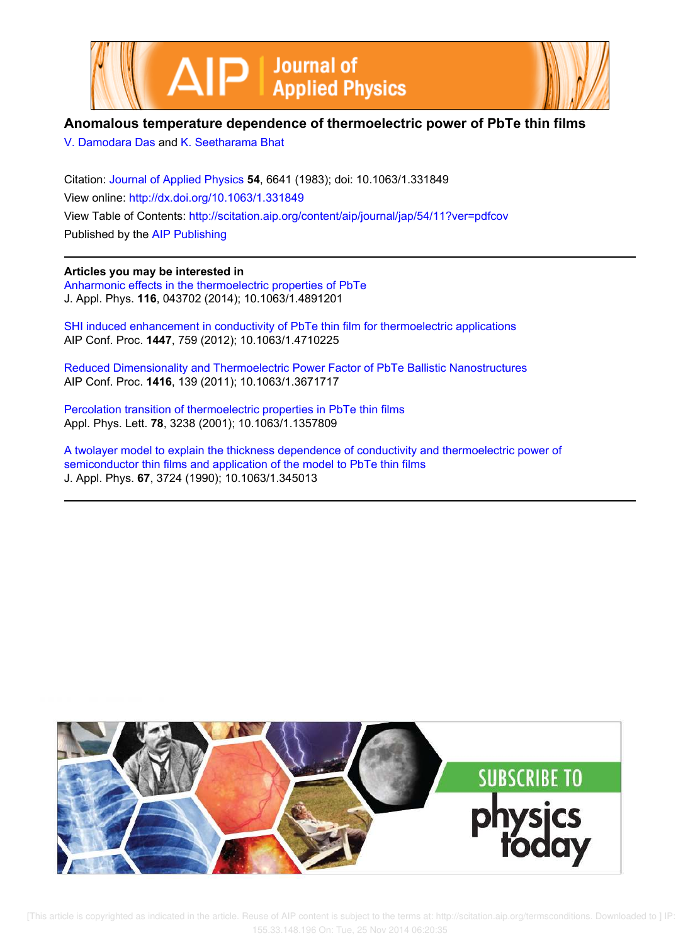



# **Anomalous temperature dependence of thermoelectric power of PbTe thin films**

V. Damodara Das and K. Seetharama Bhat

Citation: Journal of Applied Physics **54**, 6641 (1983); doi: 10.1063/1.331849 View online: http://dx.doi.org/10.1063/1.331849 View Table of Contents: http://scitation.aip.org/content/aip/journal/jap/54/11?ver=pdfcov Published by the AIP Publishing

## **Articles you may be interested in**

Anharmonic effects in the thermoelectric properties of PbTe J. Appl. Phys. **116**, 043702 (2014); 10.1063/1.4891201

SHI induced enhancement in conductivity of PbTe thin film for thermoelectric applications AIP Conf. Proc. **1447**, 759 (2012); 10.1063/1.4710225

Reduced Dimensionality and Thermoelectric Power Factor of PbTe Ballistic Nanostructures AIP Conf. Proc. **1416**, 139 (2011); 10.1063/1.3671717

Percolation transition of thermoelectric properties in PbTe thin films Appl. Phys. Lett. **78**, 3238 (2001); 10.1063/1.1357809

A twolayer model to explain the thickness dependence of conductivity and thermoelectric power of semiconductor thin films and application of the model to PbTe thin films J. Appl. Phys. **67**, 3724 (1990); 10.1063/1.345013

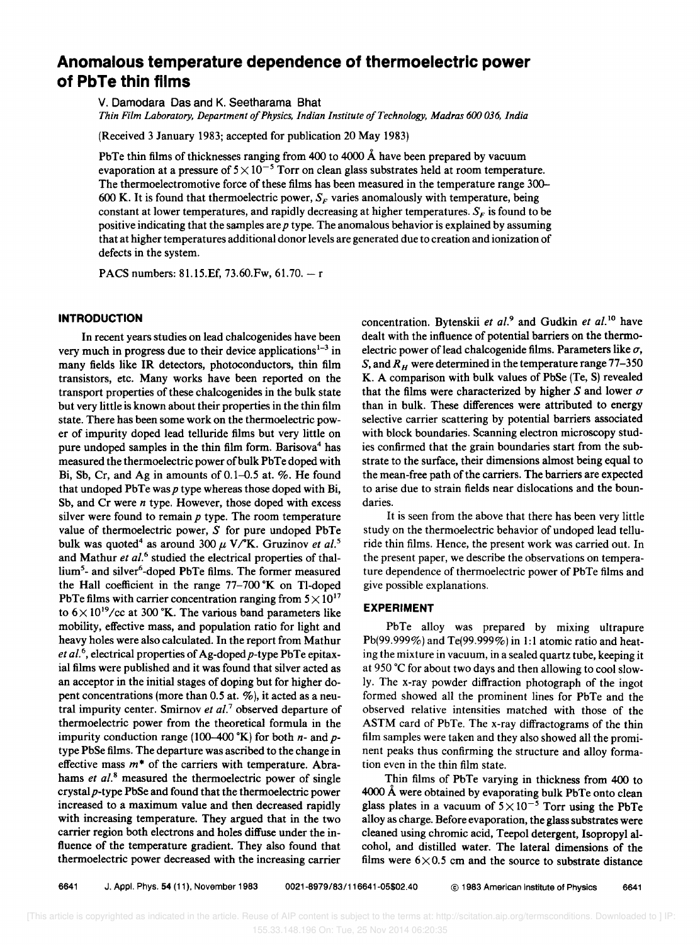# **Anomalous temperature dependence of thermoelectric power of PbTe thin films**

V. Damodara Das and K. Seetharama Bhat

*Thin Film Laboratory, Department of Physics, Indian Institute of Technology, Madras 600 036, India* 

(Received 3 January 1983; accepted for publication 20 May 1983)

PbTe thin films of thicknesses ranging from 400 to 4000 Å have been prepared by vacuum evaporation at a pressure of  $5 \times 10^{-5}$  Torr on clean glass substrates held at room temperature. The thermoelectromotive force of these films has been measured in the temperature range 300– 600 K. It is found that thermoelectric power,  $S_F$  varies anomalously with temperature, being constant at lower temperatures, and rapidly decreasing at higher temperatures.  $S_F$  is found to be positive indicating that the samples are *p* type. The anomalous behavior is explained by assuming that at higher temperatures additional donor levels are generated due to creation and ionization of defects in the system.

PACS numbers: 81.15.Ef, 73.60.Fw, 61.70. - r

#### **INTRODUCTION**

In recent years studies on lead chalcogenides have been very much in progress due to their device applications $1-3$  in many fields like IR detectors, photoconductors, thin film transistors, etc. Many works have been reported on the transport properties of these chalcogenides in the bulk state but very little is known about their properties in the thin film state. There has been some work on the thermoelectric power of impurity doped lead telluride films but very little on pure undoped samples in the thin film form. Barisova<sup>4</sup> has measured the thermoelectric power of bulk PbTe doped with Bi, Sb, Cr, and Ag in amounts of 0.1-0.5 at. %. He found that undoped PbTe was  $p$  type whereas those doped with Bi, Sb, and Cr were *n* type. However, those doped with excess silver were found to remain *p* type. The room temperature value of thermoelectric power, S for pure undoped PbTe bulk was quoted<sup>4</sup> as around 300  $\mu$  V/<sup>o</sup>K. Gruzinov *et al.*<sup>5</sup> and Mathur *et al.*<sup>6</sup> studied the electrical properties of thallium<sup>5</sup>- and silver<sup>6</sup>-doped PbTe films. The former measured the Hall coefficient in the range  $77-700$  K on Tl-doped PbTe films with carrier concentration ranging from  $5 \times 10^{17}$ to  $6 \times 10^{19}$ /cc at 300 °K. The various band parameters like mobility, effective mass, and population ratio for light and heavy holes were also calculated. In the report from Mathur *et al.* 6, electrical properties of Ag-doped *p-type* PbTe epitaxial films were published and it was found that silver acted as an acceptor in the initial stages of doping but for higher dopent concentrations (more than 0.5 at. %), it acted as a neutral impurity center. Smirnov *et al.*<sup>7</sup> observed departure of thermoelectric power from the theoretical formula in the impurity conduction range (100–400 °K) for both  $n-$  and  $p$ type PbSe films. The departure was ascribed to the change in effective mass *m\** of the carriers with temperature. Abrahams *et al.*<sup>8</sup> measured the thermoelectric power of single crystalp-type PbSe and found that the thermoelectric power increased to a maximum value and then decreased rapidly with increasing temperature. They argued that in the two carrier region both electrons and holes diffuse under the influence of the temperature gradient. They also found that thermoelectric power decreased with the increasing carrier

concentration. Bytenskii *et al. <sup>9</sup>*and Gudkin *et al.1O* have dealt with the influence of potential barriers on the thermoelectric power of lead chalcogenide films. Parameters like  $\sigma$ , S, and  $R_H$  were determined in the temperature range 77-350 K. A comparison with bulk values of PbSe (Te, S) revealed that the films were characterized by higher S and lower  $\sigma$ than in bulk. These differences were attributed to energy selective carrier scattering by potential barriers associated with block boundaries. Scanning electron microscopy studies confirmed that the grain boundaries start from the substrate to the surface, their dimensions almost being equal to the mean-free path of the carriers. The barriers are expected to arise due to strain fields near dislocations and the boundaries.

It is seen from the above that there has been very little study on the thermoelectric behavior of undoped lead telluride thin films. Hence, the present work was carried out. In the present paper, we describe the observations on temperature dependence of thermoelectric power of PbTe films and give possible explanations.

#### **EXPERIMENT**

PbTe alloy was prepared by mixing ultrapure Pb(99.999%) and Te(99.999%) in 1:1 atomic ratio and heating the mixture in vacuum, in a sealed quartz tube, keeping it at 950°C for about two days and then allowing to cool slowly. The x-ray powder diffraction photograph of the ingot formed showed all the prominent lines for PbTe and the observed relative intensities matched with those of the ASTM card of PbTe. The x-ray diffractograms of the thin film samples were taken and they also showed all the prominent peaks thus confirming the structure and alloy formation even in the thin film state.

Thin films of PbTe varying in thickness from 400 to 4000 A were obtained by evaporating bulk PbTe onto clean glass plates in a vacuum of  $5 \times 10^{-5}$  Torr using the PbTe alloy as charge. Before evaporation, the glass substrates were cleaned using chromic acid, Teepol detergent, Isopropyl alcohol, and distilled water. The lateral dimensions of the films were  $6\times0.5$  cm and the source to substrate distance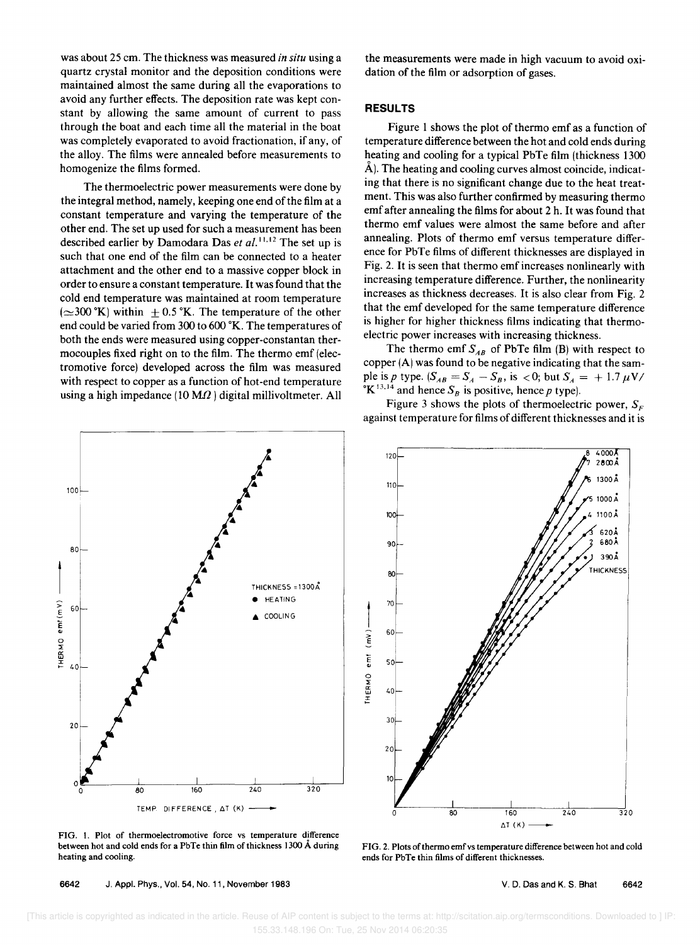was about 25 cm. The thickness was measured *in situ* using a quartz crystal monitor and the deposition conditions were maintained almost the same during all the evaporations to avoid any further effects. The deposition rate was kept constant by allowing the same amount of current to pass through the boat and each time all the material in the boat was completely evaporated to avoid fractionation, if any, of the alloy. The films were annealed before measurements to homogenize the films formed.

The thermoelectric power measurements were done by the integral method, namely, keeping one end of the film at a constant temperature and varying the temperature of the other end. The set up used for such a measurement has been described earlier by Damodara Das et al.<sup>11,12</sup> The set up is such that one end of the film can be connected to a heater attachment and the other end to a massive copper block in order to ensure a constant temperature. It was found that the cold end temperature was maintained at room temperature  $(\simeq 300 \text{ °K})$  within  $\pm 0.5 \text{ °K}$ . The temperature of the other end could be varied from 300 to 600 °K. The temperatures of both the ends were measured using copper-constantan thermocouples fixed right on to the film. The thermo emf (electromotive force) developed across the film was measured with respect to copper as a function of hot-end temperature using a high impedance (10 M $\Omega$ ) digital millivoltmeter. All the measurements were made in high vacuum to avoid oxidation of the film or adsorption of gases.

#### **RESULTS**

Figure I shows the plot of thermo emf as a function of temperature difference between the hot and cold ends during heating and cooling for a typical PbTe film (thickness 1300) A). The heating and cooling curves almost coincide, indicating that there is no significant change due to the heat treatment. This was also further confirmed by measuring thermo emf after annealing the films for about 2 h. It was found that thermo emf values were almost the same before and after annealing. Plots of thermo emf versus temperature difference for PbTe films of different thicknesses are displayed in Fig. 2. It is seen that thermo emf increases nonlinearly with increasing temperature difference. Further, the nonlinearity increases as thickness decreases. It is also clear from Fig. 2 that the emf developed for the same temperature difference is higher for higher thickness films indicating that thermoelectric power increases with increasing thickness.

The thermo emf  $S_{AB}$  of PbTe film (B) with respect to copper (A) was found to be negative indicating that the sample is p type.  $(S_{AB} = S_A - S_B)$ , is  $\langle 0; \text{ but } S_A = +1.7 \mu \text{V} \rangle$ <sup>o</sup>K<sup>13,14</sup> and hence  $S_B$  is positive, hence p type).

Figure 3 shows the plots of thermoelectric power,  $S_F$ against temperature for films of different thicknesses and it is



FIG. 1. Plot of thermoelectromotive force vs temperature difference between hot and cold ends for a PbTe thin film of thickness 1300 Å during heating and cooling.

6642 J. Appl. Phys., Vol. 54, No. 11, November 1983



FIG. 2. Plots of thermo emf vs temperature difference between hot and cold ends for PbTe thin films of different thicknesses.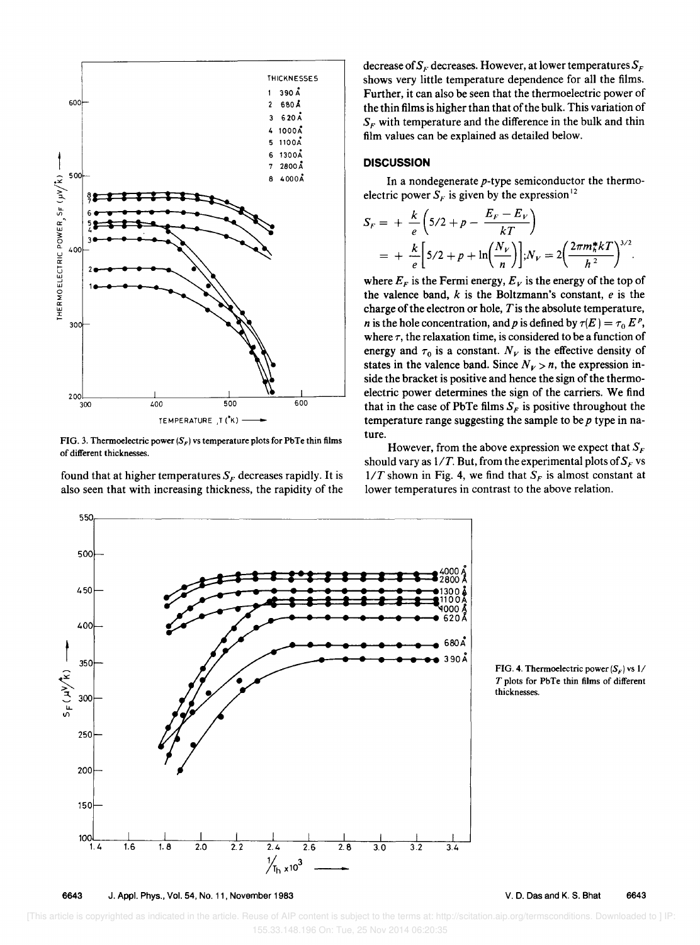

FIG. 3. Thermoelectric power  $(S_F)$  vs temperature plots for PbTe thin films of different thicknesses.

found that at higher temperatures  $S_F$  decreases rapidly. It is also seen that with increasing thickness, the rapidity of the

decrease of  $S_F$  decreases. However, at lower temperatures  $S_F$ shows very little temperature dependence for all the films. Further, it can also be seen that the thermoelectric power of the thin films is higher than that of the bulk. This variation of  $S<sub>F</sub>$  with temperature and the difference in the bulk and thin film values can be explained as detailed below.

### **DISCUSSION**

In a nondegenerate *p-type* semiconductor the thermoelectric power  $S_F$  is given by the expression<sup>12</sup>

$$
S_F = + \frac{k}{e} \left( 5/2 + p - \frac{E_F - E_V}{kT} \right)
$$
  
= + \frac{k}{e} \left[ 5/2 + p + \ln \left( \frac{N\_V}{n} \right) \right]; N\_V = 2 \left( \frac{2\pi m\_h^\* k}{h^2} \right)^{3/2}.

where  $E_F$  is the Fermi energy,  $E_V$  is the energy of the top of the valence band, *k* is the Boltzmann's constant, *e* is the charge of the electron or hole,  $T$  is the absolute temperature, *n* is the hole concentration, and *p* is defined by  $\tau(E) = \tau_0 E^p$ , where  $\tau$ , the relaxation time, is considered to be a function of energy and  $\tau_0$  is a constant.  $N_V$  is the effective density of states in the valence band. Since  $N_V > n$ , the expression inside the bracket is positive and hence the sign of the thermoelectric power determines the sign of the carriers. We find that in the case of PbTe films  $S_F$  is positive throughout the temperature range suggesting the sample to be *p* type in nature.

However, from the above expression we expect that  $S_F$ should vary as  $1/T$ . But, from the experimental plots of  $S_F$  vs  $1/T$  shown in Fig. 4, we find that  $S_F$  is almost constant at lower temperatures in contrast to the above relation.





550<sub>|</sub>

6643 J. Appl. Phys., Vol. 54. No. 11. November 1983

V. D. Das and K. S. Bhat 6643

 [This article is copyrighted as indicated in the article. Reuse of AIP content is subject to the terms at: http://scitation.aip.org/termsconditions. Downloaded to ] IP: 155.33.148.196 On: Tue, 25 Nov 2014 06:20:35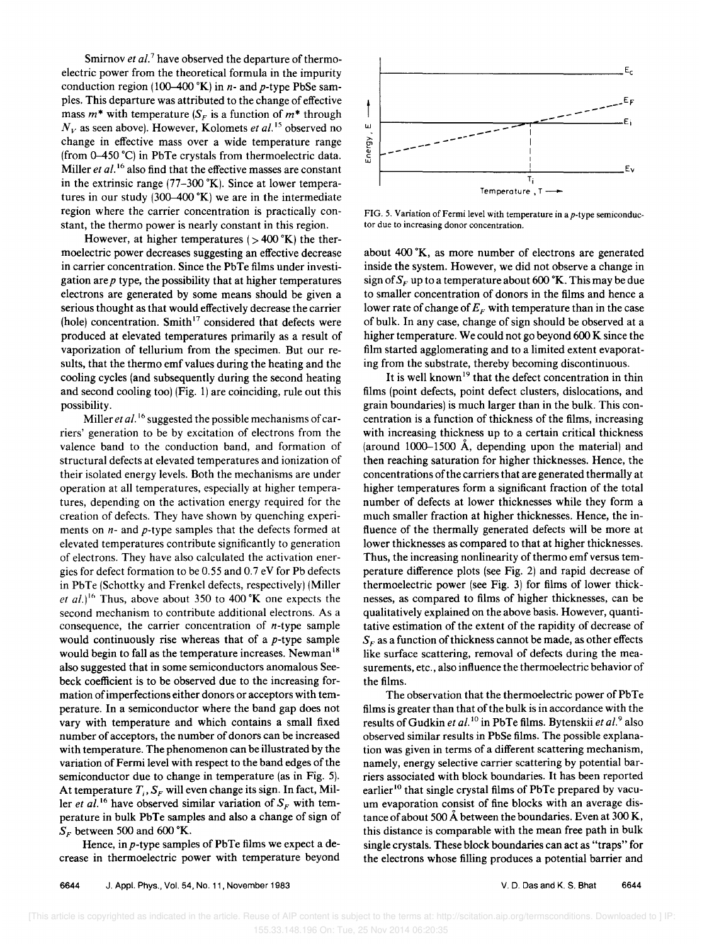Smirnov *et al.*<sup>7</sup> have observed the departure of thermoelectric power from the theoretical formula in the impurity conduction region (100-400 °K) in  $n$ - and  $p$ -type PbSe sampIes. This departure was attributed to the change of effective mass  $m^*$  with temperature  $(S_F)$  is a function of  $m^*$  through  $N_V$  as seen above). However, Kolomets *et al.*<sup>15</sup> observed no change in effective mass over a wide temperature range (from  $0-450$  °C) in PbTe crystals from thermoelectric data. Miller *et al.*<sup>16</sup> also find that the effective masses are constant in the extrinsic range  $(77-300 \text{ °K})$ . Since at lower temperatures in our study  $(300-400 \text{ °K})$  we are in the intermediate region where the carrier concentration is practically constant, the thermo power is nearly constant in this region.

However, at higher temperatures ( $>$  400 °K) the thermoelectric power decreases suggesting an effective decrease in carrier concentration. Since the PbTe films under investigation are *p* type, the possibility that at higher temperatures electrons are generated by some means should be given a serious thought as that would effectively decrease the carrier (hole) concentration. Smith<sup>17</sup> considered that defects were produced at elevated temperatures primarily as a result of vaporization of tellurium from the specimen. But our results, that the thermo emf values during the heating and the cooling cycles (and subsequently during the second heating and second cooling too) (Fig. 1) are coinciding, rule out this possibility.

Miller *et al.*<sup>16</sup> suggested the possible mechanisms of carriers' generation to be by excitation of electrons from the valence band to the conduction band, and formation of structural defects at elevated temperatures and ionization of their isolated energy levels. Both the mechanisms are under operation at all temperatures, especially at higher temperatures, depending on the activation energy required for the creation of defects. They have shown by quenching experiments on *n-* and *p-type* samples that the defects formed at elevated temperatures contribute significantly to generation of electrons. They have also calculated the activation energies for defect formation to be 0.55 and 0.7 eV for Pb defects in PbTe (Schottky and Frenkel defects, respectively) (Miller *et al.*)<sup>16</sup> Thus, above about 350 to 400  $K$  one expects the second mechanism to contribute additional electrons. As a consequence, the carrier concentration of  $n$ -type sample would continuously rise whereas that of a *p-type* sample would begin to fall as the temperature increases. Newman <sup>18</sup> also suggested that in some semiconductors anomalous Seebeck coefficient is to be observed due to the increasing formation of imperfections either donors or acceptors with temperature. In a semiconductor where the band gap does not vary with temperature and which contains a small fixed number of acceptors, the number of donors can be increased with temperature. The phenomenon can be illustrated by the variation of Fermi level with respect to the band edges of the semiconductor due to change in temperature (as in Fig. 5). At temperature  $T_i$ ,  $S_F$  will even change its sign. In fact, Miller *et al.*<sup>16</sup> have observed similar variation of  $S_F$  with temperature in bulk PbTe samples and also a change of sign of  $S<sub>F</sub>$  between 500 and 600 °K.

Hence, in p-type samples of PbTe films we expect a decrease in thermoelectric power with temperature beyond



FIG. 5. Variation of Fermi level with temperature in a *p-type* semiconductor due to increasing donor concentration.

about 400 °K, as more number of electrons are generated inside the system. However, we did not observe a change in sign of  $S_F$  up to a temperature about 600 °K. This may be due to smaller concentration of donors in the films and hence a lower rate of change of  $E_F$  with temperature than in the case of bulk. In any case, change of sign should be observed at a higher temperature. We could not go beyond 600 K since the film started agglomerating and to a limited extent evaporating from the substrate, thereby becoming discontinuous.

It is well known<sup>19</sup> that the defect concentration in thin films (point defects, point defect clusters, dislocations, and grain boundaries) is much larger than in the bulk. This concentration is a function of thickness of the films, increasing with increasing thickness up to a certain critical thickness (around  $1000-1500$  Å, depending upon the material) and then reaching saturation for higher thicknesses. Hence, the concentrations of the carriers that are generated thermally at higher temperatures form a significant fraction of the total number of defects at lower thicknesses while they form a much smaller fraction at higher thicknesses. Hence, the influence of the thermally generated defects will be more at lower thicknesses as compared to that at higher thicknesses. Thus, the increasing nonlinearity of thermo emf versus temperature difference plots (see Fig. 2) and rapid decrease of thermoelectric power (see Fig. 3) for films of lower thicknesses, as compared to films of higher thicknesses, can be qualitatively explained on the above basis. However, quantitative estimation of the extent of the rapidity of decrease of  $S<sub>F</sub>$  as a function of thickness cannot be made, as other effects like surface scattering, removal of defects during the measurements, etc., also influence the thermoelectric behavior of the films.

The observation that the thermoelectric power of PbTe films is greater than that of the bulk is in accordance with the results of Gudkin *et al.* 10 in PbTe films. Bytenskii *et al. <sup>9</sup>*also observed similar results in PbSe films. The possible explanation was given in terms of a different scattering mechanism, namely, energy selective carrier scattering by potential barriers associated with block boundaries. It has been reported earlier<sup>10</sup> that single crystal films of PbTe prepared by vacuum evaporation consist of fine blocks with an average distance of about 500 Å between the boundaries. Even at 300 K, this distance is comparable with the mean free path in bulk single crystals. These block boundaries can act as "traps" for the electrons whose filling produces a potential barrier and